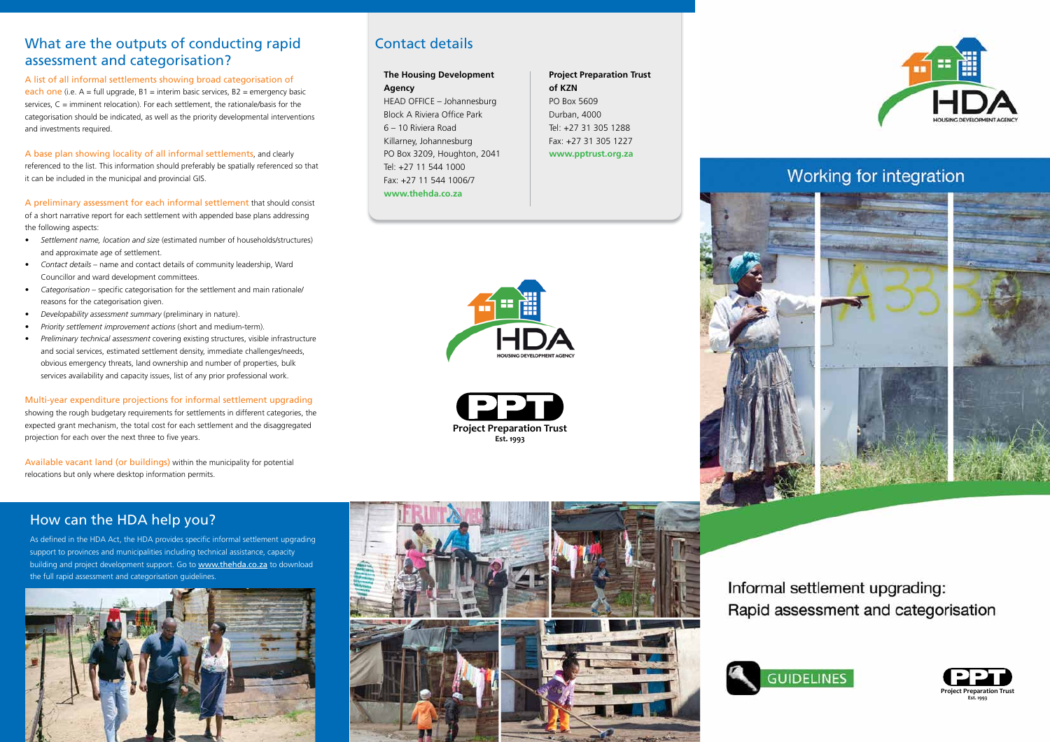# What are the outputs of conducting rapid assessment and categorisation?

#### A list of all informal settlements showing broad categorisation of

each one (i.e.  $A = \text{full upgrade}$ ,  $B1 = \text{interim basic services}$ ,  $B2 = \text{energy basic}$ services, C = imminent relocation). For each settlement, the rationale/basis for the categorisation should be indicated, as well as the priority developmental interventions and investments required.

#### A base plan showing locality of all informal settlements, and clearly

referenced to the list. This information should preferably be spatially referenced so that it can be included in the municipal and provincial GIS.

#### A preliminary assessment for each informal settlement that should consist of a short narrative report for each settlement with appended base plans addressing the following aspects:

- Settlement name, location and size (estimated number of households/structures) and approximate age of settlement.
- *• Contact details*  name and contact details of community leadership, Ward Councillor and ward development committees.
- *• Categorisation* specific categorisation for the settlement and main rationale/ reasons for the categorisation given.
- *Developability assessment summary* (preliminary in nature).
- *Priority settlement improvement actions* (short and medium-term).
- *Preliminary technical assessment* covering existing structures, visible infrastructure and social services, estimated settlement density, immediate challenges/needs, obvious emergency threats, land ownership and number of properties, bulk services availability and capacity issues, list of any prior professional work.

#### Multi-year expenditure projections for informal settlement upgrading showing the rough budgetary requirements for settlements in different categories, the expected grant mechanism, the total cost for each settlement and the disaggregated projection for each over the next three to five years.

Available vacant land (or buildings) within the municipality for potential relocations but only where desktop information permits.

# Contact details

### **The Housing Development**

**Agency** HEAD OFFICE – Johannesburg Block A Riviera Office Park 6 – 10 Riviera Road Killarney, Johannesburg PO Box 3209, Houghton, 2041 Tel: +27 11 544 1000 Fax: +27 11 544 1006/7 **www.thehda.co.za**

### **Project Preparation Trust of KZN** PO Box 5609 Durban, 4000 Tel: +27 31 305 1288 Fax: +27 31 305 1227 **www.pptrust.org.za**







## How can the HDA help you?

As defined in the HDA Act, the HDA provides specific informal settlement upgrading support to provinces and municipalities including technical assistance, capacity building and project development support. Go to www.thehda.co.za to download the full rapid assessment and categorisation guidelines.





Informal settlement upgrading: Rapid assessment and categorisation





# Working for integration



**Est. 1993**